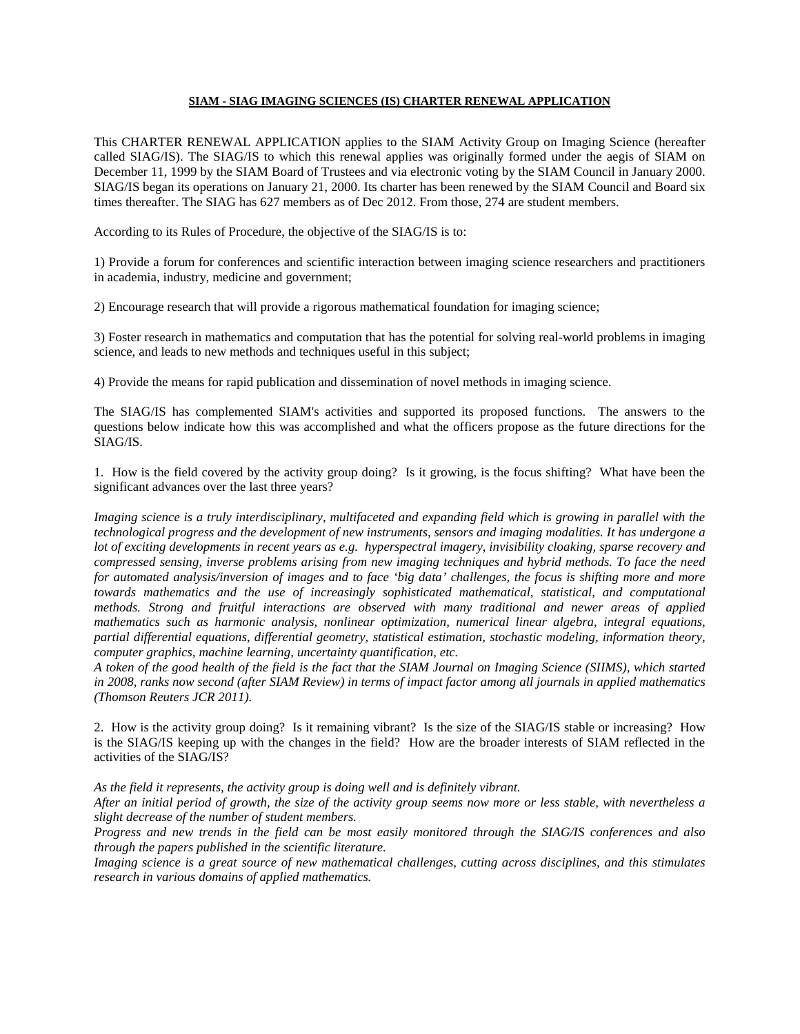## **SIAM - SIAG IMAGING SCIENCES (IS) CHARTER RENEWAL APPLICATION**

This CHARTER RENEWAL APPLICATION applies to the SIAM Activity Group on Imaging Science (hereafter called SIAG/IS). The SIAG/IS to which this renewal applies was originally formed under the aegis of SIAM on December 11, 1999 by the SIAM Board of Trustees and via electronic voting by the SIAM Council in January 2000. SIAG/IS began its operations on January 21, 2000. Its charter has been renewed by the SIAM Council and Board six times thereafter. The SIAG has 627 members as of Dec 2012. From those, 274 are student members.

According to its Rules of Procedure, the objective of the SIAG/IS is to:

1) Provide a forum for conferences and scientific interaction between imaging science researchers and practitioners in academia, industry, medicine and government;

2) Encourage research that will provide a rigorous mathematical foundation for imaging science;

3) Foster research in mathematics and computation that has the potential for solving real-world problems in imaging science, and leads to new methods and techniques useful in this subject;

4) Provide the means for rapid publication and dissemination of novel methods in imaging science.

The SIAG/IS has complemented SIAM's activities and supported its proposed functions. The answers to the questions below indicate how this was accomplished and what the officers propose as the future directions for the SIAG/IS.

1. How is the field covered by the activity group doing? Is it growing, is the focus shifting? What have been the significant advances over the last three years?

*Imaging science is a truly interdisciplinary, multifaceted and expanding field which is growing in parallel with the technological progress and the development of new instruments, sensors and imaging modalities. It has undergone a lot of exciting developments in recent years as e.g. hyperspectral imagery, invisibility cloaking, sparse recovery and compressed sensing, inverse problems arising from new imaging techniques and hybrid methods. To face the need for automated analysis/inversion of images and to face 'big data' challenges, the focus is shifting more and more towards mathematics and the use of increasingly sophisticated mathematical, statistical, and computational methods. Strong and fruitful interactions are observed with many traditional and newer areas of applied mathematics such as harmonic analysis, nonlinear optimization, numerical linear algebra, integral equations, partial differential equations, differential geometry, statistical estimation, stochastic modeling, information theory, computer graphics, machine learning, uncertainty quantification, etc.*

*A token of the good health of the field is the fact that the SIAM Journal on Imaging Science (SIIMS), which started in 2008, ranks now second (after SIAM Review) in terms of impact factor among all journals in applied mathematics (Thomson Reuters JCR 2011).*

2. How is the activity group doing? Is it remaining vibrant? Is the size of the SIAG/IS stable or increasing? How is the SIAG/IS keeping up with the changes in the field? How are the broader interests of SIAM reflected in the activities of the SIAG/IS?

*As the field it represents, the activity group is doing well and is definitely vibrant.*

*After an initial period of growth, the size of the activity group seems now more or less stable, with nevertheless a slight decrease of the number of student members.* 

*Progress and new trends in the field can be most easily monitored through the SIAG/IS conferences and also through the papers published in the scientific literature.*

*Imaging science is a great source of new mathematical challenges, cutting across disciplines, and this stimulates research in various domains of applied mathematics.*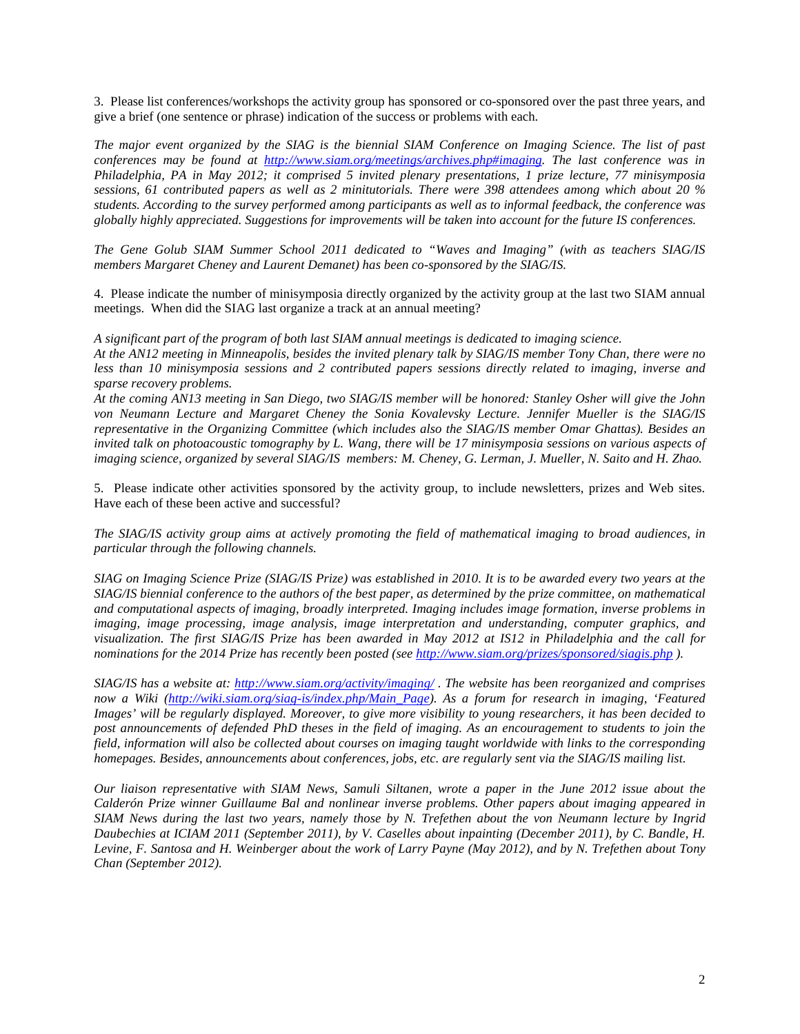3. Please list conferences/workshops the activity group has sponsored or co-sponsored over the past three years, and give a brief (one sentence or phrase) indication of the success or problems with each.

*The major event organized by the SIAG is the biennial SIAM Conference on Imaging Science. The list of past conferences may be found at [http://www.siam.org/meetings/archives.php#imaging.](http://www.siam.org/meetings/archives.php#imaging) The last conference was in Philadelphia, PA in May 2012; it comprised 5 invited plenary presentations, 1 prize lecture, 77 minisymposia sessions, 61 contributed papers as well as 2 minitutorials. There were 398 attendees among which about 20 % students. According to the survey performed among participants as well as to informal feedback, the conference was globally highly appreciated. Suggestions for improvements will be taken into account for the future IS conferences.*

*The Gene Golub SIAM Summer School 2011 dedicated to "Waves and Imaging" (with as teachers SIAG/IS members Margaret Cheney and Laurent Demanet) has been co-sponsored by the SIAG/IS.*

4. Please indicate the number of minisymposia directly organized by the activity group at the last two SIAM annual meetings. When did the SIAG last organize a track at an annual meeting?

*A significant part of the program of both last SIAM annual meetings is dedicated to imaging science.* 

*At the AN12 meeting in Minneapolis, besides the invited plenary talk by SIAG/IS member Tony Chan, there were no less than 10 minisymposia sessions and 2 contributed papers sessions directly related to imaging, inverse and sparse recovery problems.* 

*At the coming AN13 meeting in San Diego, two SIAG/IS member will be honored: Stanley Osher will give the John von Neumann Lecture and Margaret Cheney the Sonia Kovalevsky Lecture. Jennifer Mueller is the SIAG/IS representative in the Organizing Committee (which includes also the SIAG/IS member Omar Ghattas). Besides an invited talk on photoacoustic tomography by L. Wang, there will be 17 minisymposia sessions on various aspects of imaging science, organized by several SIAG/IS members: M. Cheney, G. Lerman, J. Mueller, N. Saito and H. Zhao.*

5. Please indicate other activities sponsored by the activity group, to include newsletters, prizes and Web sites. Have each of these been active and successful?

*The SIAG/IS activity group aims at actively promoting the field of mathematical imaging to broad audiences, in particular through the following channels.*

*SIAG on Imaging Science Prize (SIAG/IS Prize) was established in 2010. It is to be awarded every two years at the SIAG/IS biennial conference to the authors of the best paper, as determined by the prize committee, on mathematical and computational aspects of imaging, broadly interpreted. Imaging includes image formation, inverse problems in imaging, image processing, image analysis, image interpretation and understanding, computer graphics, and visualization. The first SIAG/IS Prize has been awarded in May 2012 at IS12 in Philadelphia and the call for nominations for the 2014 Prize has recently been posted (se[e http://www.siam.org/prizes/sponsored/siagis.php](http://www.siam.org/prizes/sponsored/siagis.php) ).*

*SIAG/IS has a website at:<http://www.siam.org/activity/imaging/> . The website has been reorganized and comprises now a Wiki [\(http://wiki.siam.org/siag-is/index.php/Main\\_Page\)](http://wiki.siam.org/siag-is/index.php/Main_Page). As a forum for research in imaging, 'Featured Images' will be regularly displayed. Moreover, to give more visibility to young researchers, it has been decided to post announcements of defended PhD theses in the field of imaging. As an encouragement to students to join the field, information will also be collected about courses on imaging taught worldwide with links to the corresponding homepages. Besides, announcements about conferences, jobs, etc. are regularly sent via the SIAG/IS mailing list.*

*Our liaison representative with SIAM News, Samuli Siltanen, wrote a paper in the June 2012 issue about the Calderón Prize winner Guillaume Bal and nonlinear inverse problems. Other papers about imaging appeared in SIAM News during the last two years, namely those by N. Trefethen about the von Neumann lecture by Ingrid Daubechies at ICIAM 2011 (September 2011), by V. Caselles about inpainting (December 2011), by C. Bandle, H.* Levine, F. Santosa and H. Weinberger about the work of Larry Payne (May 2012), and by N. Trefethen about Tony *Chan (September 2012).*